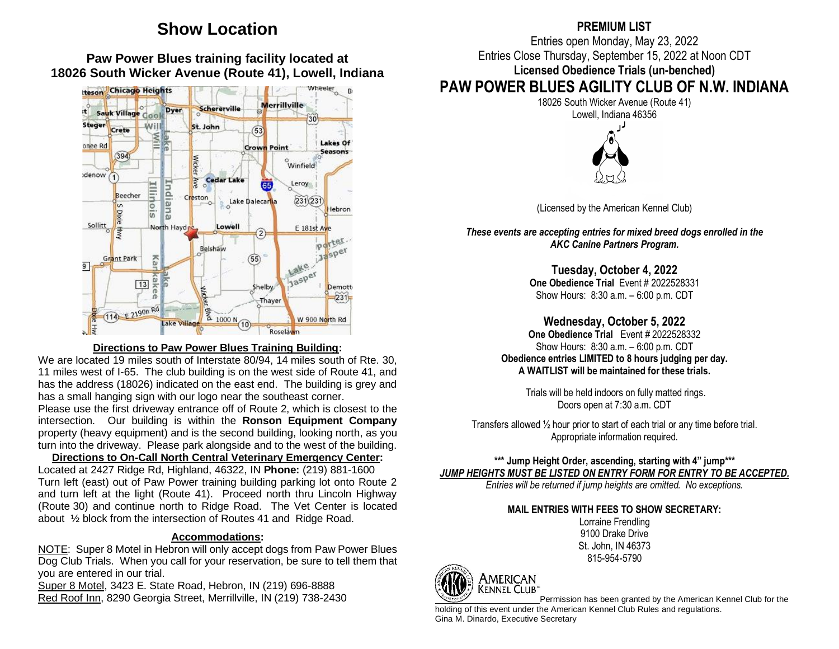# **Show Location**

# **Paw Power Blues training facility located at 18026 South Wicker Avenue (Route 41), Lowell, Indiana**



# **Directions to Paw Power Blues Training Building:**

We are located 19 miles south of Interstate 80/94, 14 miles south of Rte. 30. 11 miles west of I-65. The club building is on the west side of Route 41, and has the address (18026) indicated on the east end. The building is grey and has a small hanging sign with our logo near the southeast corner.

Please use the first driveway entrance off of Route 2, which is closest to the intersection. Our building is within the **Ronson Equipment Company** property (heavy equipment) and is the second building, looking north, as you turn into the driveway. Please park alongside and to the west of the building.

### **Directions to On-Call North Central Veterinary Emergency Center:** Located at 2427 Ridge Rd, Highland, 46322, IN **Phone:** (219) 881-1600 Turn left (east) out of Paw Power training building parking lot onto Route 2 and turn left at the light (Route 41). Proceed north thru Lincoln Highway (Route 30) and continue north to Ridge Road. The Vet Center is located about ½ block from the intersection of Routes 41 and Ridge Road.

# **Accommodations:**

NOTE: Super 8 Motel in Hebron will only accept dogs from Paw Power Blues Dog Club Trials. When you call for your reservation, be sure to tell them that you are entered in our trial.

Super 8 Motel, 3423 E. State Road, Hebron, IN (219) 696-8888 Red Roof Inn, 8290 Georgia Street, Merrillville, IN (219) 738-2430

# **PREMIUM LIST**

Entries open Monday, May 23, 2022 Entries Close Thursday, September 15, 2022 at Noon CDT **Licensed Obedience Trials (un-benched) PAW POWER BLUES AGILITY CLUB OF N.W. INDIANA**

# 18026 South Wicker Avenue (Route 41)

Lowell, Indiana 46356



(Licensed by the American Kennel Club)

*These events are accepting entries for mixed breed dogs enrolled in the AKC Canine Partners Program.*

> **Tuesday, October 4, 2022 One Obedience Trial** Event # 2022528331 Show Hours: 8:30 a.m. – 6:00 p.m. CDT

# **Wednesday, October 5, 2022**

**One Obedience Trial** Event # 2022528332 Show Hours: 8:30 a.m. – 6:00 p.m. CDT **Obedience entries LIMITED to 8 hours judging per day. A WAITLIST will be maintained for these trials.**

> Trials will be held indoors on fully matted rings. Doors open at 7:30 a.m. CDT

Transfers allowed ½ hour prior to start of each trial or any time before trial. Appropriate information required.

## **\*\*\* Jump Height Order, ascending, starting with 4" jump\*\*\*** *JUMP HEIGHTS MUST BE LISTED ON ENTRY FORM FOR ENTRY TO BE ACCEPTED.*

*Entries will be returned if jump heights are omitted. No exceptions.*

# **MAIL ENTRIES WITH FEES TO SHOW SECRETARY:**

Lorraine Frendling 9100 Drake Drive St. John, IN 46373 815-954-5790



Permission has been granted by the American Kennel Club for the holding of this event under the American Kennel Club Rules and regulations.

Gina M. Dinardo, Executive Secretary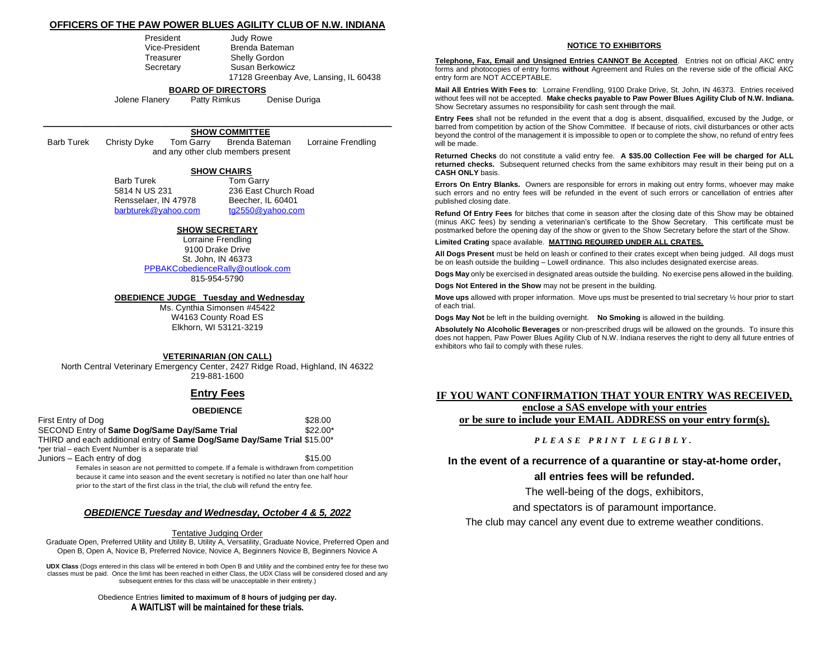### **OFFICERS OF THE PAW POWER BLUES AGILITY CLUB OF N.W. INDIANA**

| President      | Judy Rowe                             |
|----------------|---------------------------------------|
| Vice-President | Brenda Bateman                        |
| Treasurer      | <b>Shelly Gordon</b>                  |
| Secretary      | Susan Berkowicz                       |
|                | 17128 Greenbay Ave, Lansing, IL 60438 |

#### **BOARD OF DIRECTORS**

Jolene Flanery Patty Rimkus Denise Duriga

#### **\_\_\_\_\_\_\_\_\_\_\_\_\_\_\_\_\_\_\_\_\_\_\_\_\_\_\_\_\_\_\_\_\_\_\_\_\_\_\_\_\_\_\_\_\_\_\_\_\_\_\_\_\_\_\_\_\_\_\_\_\_\_\_\_\_\_\_\_\_\_\_\_\_\_ SHOW COMMITTEE**

 Barb Turek Christy Dyke Tom Garry Brenda Bateman Lorraine Frendling and any other club members present

#### **SHOW CHAIRS**

Barb Turek Tom Garry Rensselaer, IN 47978 Beecher, IL 60401<br>
barbturek@vahoo.com to2550@vahoo.com [barbturek@yahoo.com](mailto:barbturek@yahoo.com)

5814 N US 231 236 East Church Road

#### **SHOW SECRETARY**

Lorraine Frendling 9100 Drake Drive St. John, IN 46373 [PPBAKCobedienceRally@outlook.com](mailto:PPBAKCobedienceRally@outlook.com) 815-954-5790

#### **OBEDIENCE JUDGE Tuesday and Wednesday**

Ms. Cynthia Simonsen #45422 W4163 County Road ES Elkhorn, WI 53121-3219

#### **VETERINARIAN (ON CALL)**

North Central Veterinary Emergency Center, 2427 Ridge Road, Highland, IN 46322 219-881-1600

### **Entry Fees**

#### **OBEDIENCE**

| First Entry of Dog                                                              | \$28.00   |
|---------------------------------------------------------------------------------|-----------|
| SECOND Entry of Same Dog/Same Day/Same Trial                                    | $$22.00*$ |
| THIRD and each additional entry of <b>Same Dog/Same Day/Same Trial</b> \$15.00* |           |
| *per trial – each Event Number is a separate trial                              |           |

Juniors – Each entry of dog  $$15.00$ 

Females in season are not permitted to compete. If a female is withdrawn from competition because it came into season and the event secretary is notified no later than one half hour prior to the start of the first class in the trial, the club will refund the entry fee.

#### *OBEDIENCE Tuesday and Wednesday, October 4 & 5, 2022*

#### Tentative Judging Order

Graduate Open, Preferred Utility and Utility B, Utility A, Versatility, Graduate Novice, Preferred Open and Open B, Open A, Novice B, Preferred Novice, Novice A, Beginners Novice B, Beginners Novice A

**UDX Class** (Dogs entered in this class will be entered in both Open B and Utility and the combined entry fee for these two classes must be paid. Once the limit has been reached in either Class, the UDX Class will be considered closed and any subsequent entries for this class will be unacceptable in their entirety.)

> Obedience Entries **limited to maximum of 8 hours of judging per day. A WAITLIST will be maintained for these trials.**

#### **NOTICE TO EXHIBITORS**

**Telephone, Fax, Email and Unsigned Entries CANNOT Be Accepted**. Entries not on official AKC entry forms and photocopies of entry forms **without** Agreement and Rules on the reverse side of the official AKC entry form are NOT ACCEPTABLE.

**Mail All Entries With Fees to**: Lorraine Frendling, 9100 Drake Drive, St. John, IN 46373. Entries received without fees will not be accepted. **Make checks payable to Paw Power Blues Agility Club of N.W. Indiana.** Show Secretary assumes no responsibility for cash sent through the mail.

**Entry Fees** shall not be refunded in the event that a dog is absent, disqualified, excused by the Judge, or barred from competition by action of the Show Committee. If because of riots, civil disturbances or other acts beyond the control of the management it is impossible to open or to complete the show, no refund of entry fees will be made.

**Returned Checks** do not constitute a valid entry fee. **A \$35.00 Collection Fee will be charged for ALL returned checks.** Subsequent returned checks from the same exhibitors may result in their being put on a **CASH ONLY** basis.

**Errors On Entry Blanks.** Owners are responsible for errors in making out entry forms, whoever may make such errors and no entry fees will be refunded in the event of such errors or cancellation of entries after published closing date.

**Refund Of Entry Fees** for bitches that come in season after the closing date of this Show may be obtained (minus AKC fees) by sending a veterinarian's certificate to the Show Secretary. This certificate must be postmarked before the opening day of the show or given to the Show Secretary before the start of the Show.

#### **Limited Crating** space available. **MATTING REQUIRED UNDER ALL CRATES.**

**All Dogs Present** must be held on leash or confined to their crates except when being judged. All dogs must be on leash outside the building – Lowell ordinance. This also includes designated exercise areas.

**Dogs May** only be exercised in designated areas outside the building. No exercise pens allowed in the building.

**Dogs Not Entered in the Show** may not be present in the building.

**Move ups** allowed with proper information. Move ups must be presented to trial secretary ½ hour prior to start of each trial.

**Dogs May Not** be left in the building overnight. **No Smoking** is allowed in the building.

**Absolutely No Alcoholic Beverages** or non-prescribed drugs will be allowed on the grounds. To insure this does not happen, Paw Power Blues Agility Club of N.W. Indiana reserves the right to deny all future entries of exhibitors who fail to comply with these rules.

### **IF YOU WANT CONFIRMATION THAT YOUR ENTRY WAS RECEIVED, enclose a SAS envelope with your entries**

**or be sure to include your EMAIL ADDRESS on your entry form(s).**

#### *P L E A S E P R I N T L E G I B L Y .*

**In the event of a recurrence of a quarantine or stay-at-home order,** 

## **all entries fees will be refunded.**

The well-being of the dogs, exhibitors,

and spectators is of paramount importance.

The club may cancel any event due to extreme weather conditions.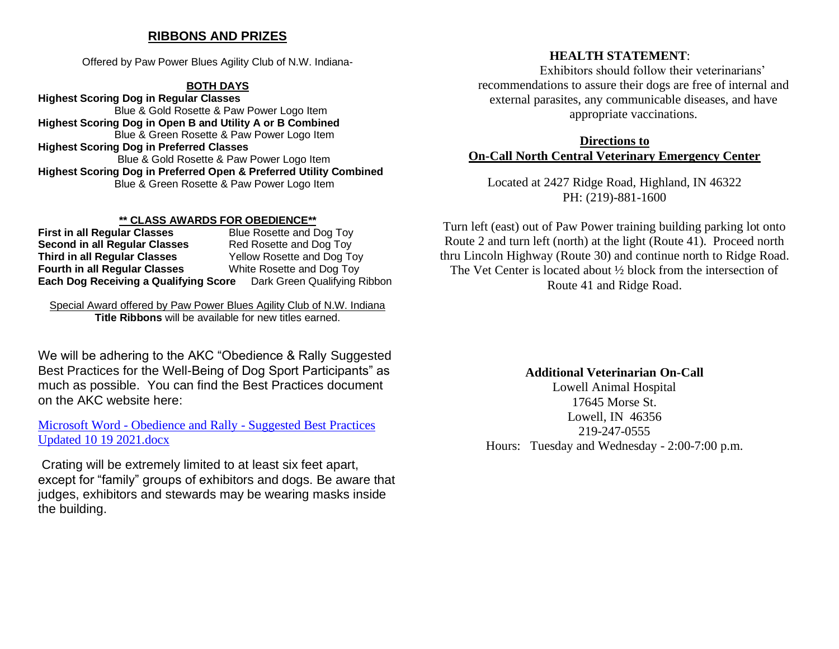# **RIBBONS AND PRIZES**

Offered by Paw Power Blues Agility Club of N.W. Indiana-

# **BOTH DAYS**

**Highest Scoring Dog in Regular Classes** Blue & Gold Rosette & Paw Power Logo Item **Highest Scoring Dog in Open B and Utility A or B Combined** Blue & Green Rosette & Paw Power Logo Item **Highest Scoring Dog in Preferred Classes** Blue & Gold Rosette & Paw Power Logo Item **Highest Scoring Dog in Preferred Open & Preferred Utility Combined** Blue & Green Rosette & Paw Power Logo Item

### **\*\* CLASS AWARDS FOR OBEDIENCE\*\***

**First in all Regular Classes** Blue Rosette and Dog Toy **Second in all Regular Classes** Red Rosette and Dog Toy **Third in all Regular Classes** Yellow Rosette and Dog Toy **Fourth in all Regular Classes** White Rosette and Dog Toy **Each Dog Receiving a Qualifying Score** Dark Green Qualifying Ribbon

Special Award offered by Paw Power Blues Agility Club of N.W. Indiana **Title Ribbons** will be available for new titles earned.

We will be adhering to the AKC "Obedience & Rally Suggested Best Practices for the Well-Being of Dog Sport Participants" as much as possible. You can find the Best Practices document on the AKC website here:

# Microsoft Word - Obedience and Rally - [Suggested Best Practices](https://s3.amazonaws.com/cdn-origin-etr.akc.org/wp-content/uploads/2021/11/09150833/Obedience-and-Rally-Suggested-Best-Practices-Updated-10-19-2021.pdf)  [Updated 10 19 2021.docx](https://s3.amazonaws.com/cdn-origin-etr.akc.org/wp-content/uploads/2021/11/09150833/Obedience-and-Rally-Suggested-Best-Practices-Updated-10-19-2021.pdf)

Crating will be extremely limited to at least six feet apart, except for "family" groups of exhibitors and dogs. Be aware that judges, exhibitors and stewards may be wearing masks inside the building.

# **HEALTH STATEMENT**:

Exhibitors should follow their veterinarians' recommendations to assure their dogs are free of internal and external parasites, any communicable diseases, and have appropriate vaccinations.

**Directions to On-Call North Central Veterinary Emergency Center**

Located at 2427 Ridge Road, Highland, IN 46322 PH: (219)-881-1600

Turn left (east) out of Paw Power training building parking lot onto Route 2 and turn left (north) at the light (Route 41). Proceed north thru Lincoln Highway (Route 30) and continue north to Ridge Road. The Vet Center is located about ½ block from the intersection of Route 41 and Ridge Road.

# **Additional Veterinarian On-Call**

Lowell Animal Hospital 17645 Morse St. Lowell, IN 46356 219-247-0555 Hours: Tuesday and Wednesday - 2:00-7:00 p.m.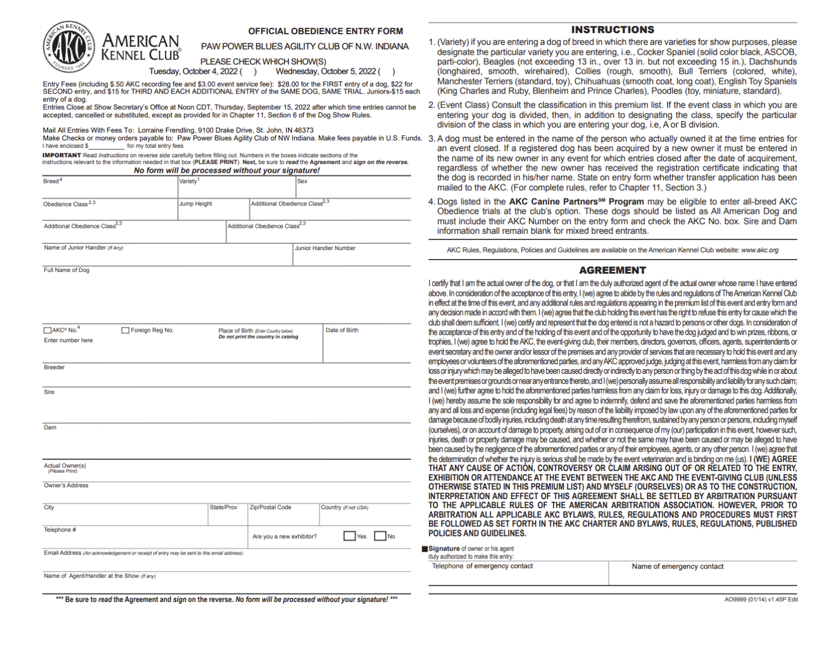### **INSTRUCTIONS**

### **OFFICIAL OBEDIENCE ENTRY FORM**

### PAW POWER BLUES AGILITY CLUB OF N.W. INDIANA

PLEASE CHECK WHICH SHOW(S)

Tuesday, October 4, 2022 () Wednesday, October 5, 2022 ()

Entry Fees (including \$.50 AKC recording fee and \$3.00 event service fee): \$28.00 for the FIRST entry of a dog, \$22 for SECOND entry, and \$15 for THIRD AND EACH ADDITIONAL ENTRY of the SAME DOG, SAME TRIAL, Juniors-\$15 each entry of a dog.

Entries Close at Show Secretary's Office at Noon CDT, Thursday, September 15, 2022 after which time entries cannot be accepted, cancelled or substituted, except as provided for in Chapter 11, Section 6 of the Dog Show Rules.

Mail All Entries With Fees To: Lorraine Frendling, 9100 Drake Drive, St. John, IN 46373

AMERICAN

**KENNEL CLUB** 

I have enclosed \$ for my total entry fees

**IMPORTANT** Read *Instructions* on reverse side carefully before filling out. Numbers in the boxes indicate sections of the

| instructions relevant to the information needed in that box (PLEASE PRINT). Next, be sure to read the Agreement and sign on the reverse. |  |
|------------------------------------------------------------------------------------------------------------------------------------------|--|
| No form will be processed without your signature!                                                                                        |  |

| <u>No form will be processed without your signature!</u> |                 |                                                          |  |                                                                             |     |                              |
|----------------------------------------------------------|-----------------|----------------------------------------------------------|--|-----------------------------------------------------------------------------|-----|------------------------------|
| Breed <sup>4</sup>                                       |                 | Variety <sup>1</sup>                                     |  |                                                                             | Sex |                              |
| Obedience Class <sup>2,3</sup>                           |                 | Additional Obedience Class <sup>2,3</sup><br>Jump Height |  |                                                                             |     |                              |
| Additional Obedience Class <sup>2,3</sup>                |                 |                                                          |  | Additional Obedience Class <sup>2,3</sup>                                   |     |                              |
| Name of Junior Handler (If Any)                          |                 |                                                          |  |                                                                             |     | <b>Junior Handler Number</b> |
| Full Name of Dog                                         |                 |                                                          |  |                                                                             |     |                              |
|                                                          |                 |                                                          |  |                                                                             |     |                              |
| AKC <sup>®</sup> No. <sup>4</sup><br>Enter number here   | Foreign Reg No. |                                                          |  | Place of Birth (Enter Country below)<br>Do not print the country in catalog |     | Date of Birth                |
| <b>Breeder</b>                                           |                 |                                                          |  |                                                                             |     |                              |
| Sire                                                     |                 |                                                          |  |                                                                             |     |                              |
| Dam                                                      |                 |                                                          |  |                                                                             |     |                              |

| Actual Owner(s)<br>(Please Print)                                                        |            |                          |                      |
|------------------------------------------------------------------------------------------|------------|--------------------------|----------------------|
| <b>Owner's Address</b>                                                                   |            |                          |                      |
| City                                                                                     | State/Prov | Zip/Postal Code          | Country (if not USA) |
|                                                                                          |            |                          |                      |
| Telephone #                                                                              |            | Are you a new exhibitor? | Yes   No             |
| Email Address (An acknowledgement or receipt of entry may be sent to this email address) |            |                          |                      |

Name of Agent/Handler at the Show (If any)

\*\*\* Be sure to read the Agreement and sign on the reverse. No form will be processed without your signature! \*\*\*

- 1. (Variety) if you are entering a dog of breed in which there are varieties for show purposes, please designate the particular variety you are entering, i.e., Cocker Spaniel (solid color black, ASCOB, parti-color). Beagles (not exceeding 13 in., over 13 in, but not exceeding 15 in.). Dachshunds (longhaired, smooth, wirehaired), Collies (rough, smooth), Bull Terriers (colored, white), Manchester Terriers (standard, toy), Chihuahuas (smooth coat, long coat), English Toy Spaniels (King Charles and Ruby, Blenheim and Prince Charles), Poodles (toy, miniature, standard).
- 2. (Event Class) Consult the classification in this premium list. If the event class in which you are entering your dog is divided, then, in addition to designating the class, specify the particular division of the class in which you are entering your dog, i.e, A or B division.
- Make Checks or money orders payable to: Paw Power Blues Agility Club of NW Indiana. Make fees payable in U.S. Funds. 3, A dog must be entered in the name of the person who actually owned it at the time entries for an event closed. If a registered dog has been acquired by a new owner it must be entered in the name of its new owner in any event for which entries closed after the date of acquirement. regardless of whether the new owner has received the registration certificate indicating that the doa is recorded in his/her name. State on entry form whether transfer application has been mailed to the AKC. (For complete rules, refer to Chapter 11, Section 3.)
	- 4. Dogs listed in the AKC Canine Partners<sup>sM</sup> Program may be eligible to enter all-breed AKC Obedience trials at the club's option. These dogs should be listed as All American Dog and must include their AKC Number on the entry form and check the AKC No. box. Sire and Dam information shall remain blank for mixed breed entrants.

AKC Rules, Regulations, Policies and Guidelines are available on the American Kennel Club website: www.akc.org

### **AGREEMENT**

I certify that I am the actual owner of the dog, or that I am the duly authorized agent of the actual owner whose name I have entered above. In consideration of the acceptance of this entry, I (we) agree to abide by the rules and regulations of The American Kennel Club in effect at the time of this event, and any additional rules and regulations appearing in the premium list of this event and entry form and any decision made in accord with them. I (we) agree that the club holding this event has the right to refuse this entry for cause which the club shall deem sufficient. I (we) certify and represent that the dog entered is not a hazard to persons or other dogs. In consideration of the acceptance of this entry and of the holding of this event and of the opportunity to have the dog judged and to win prizes, ribbons, or trophies, I (we) agree to hold the AKC, the event-giving club, their members, directors, governors, officers, agents, superintendents or event secretary and the owner and/or lessor of the premises and any provider of services that are necessary to hold this event and any employees or volunteers of the aforementioned parties, and any AKC approved judge, judging at this event, harmless from any claim for loss or injury which may be alleged to have been caused directly or indirectly to any person or thing by the act of this dog while in or about the event premises or grounds or near any entrance thereto, and I (we) personally assume all responsibility and liability for any such claim; and I (we) further agree to hold the aforementioned parties harmless from any claim for loss, injury or damage to this dog. Additionally, I (we) hereby assume the sole responsibility for and agree to indemnify, defend and save the aforementioned parties hamiless from any and all loss and expense (including legal fees) by reason of the liability imposed by law upon any of the aforementioned parties for damage because of bodily injuries, including death at any time resulting therefrom, sustained by any person or persons, including myself (ourselves), or on account of damage to property, arising out of or in consequence of my (our) participation in this event, however such, injuries, death or property damage may be caused, and whether or not the same may have been caused or may be alleged to have been caused by the negligence of the aforementioned parties or any of their employees, agents, or any other person. I (we) agree that the determination of whether the injury is serious shall be made by the event veterinarian and is binding on me (us). I (WE) AGREE THAT ANY CAUSE OF ACTIÓN, CONTROVERSY OR CLAIM ARISING OUT OF OR RELATED TO THE ENTRY, EXHIBITION OR ATTENDANCE AT THE EVENT BETWEEN THE AKC AND THE EVENT-GIVING CLUB (UNLESS OTHERWISE STATED IN THIS PREMIUM LIST) AND MYSELF (OURSELVES) OR AS TO THE CONSTRUCTION, INTERPRETATION AND EFFECT OF THIS AGREEMENT SHALL BE SETTLED BY ARBITRATION PURSUANT TO THE APPLICABLE RULES OF THE AMERICAN ARBITRATION ASSOCIATION. HOWEVER, PRIOR TO ARBITRATION ALL APPLICABLE AKC BYLAWS, RULES, REGULATIONS AND PROCEDURES MUST FIRST BE FOLLOWED AS SET FORTH IN THE AKC CHARTER AND BYLAWS, RULES, REGULATIONS, PUBLISHED **POLICIES AND GUIDELINES.** 

Signature of owner or his agent

duly authorized to make this entry:

Telephone of emergency contact

Name of emergency contact